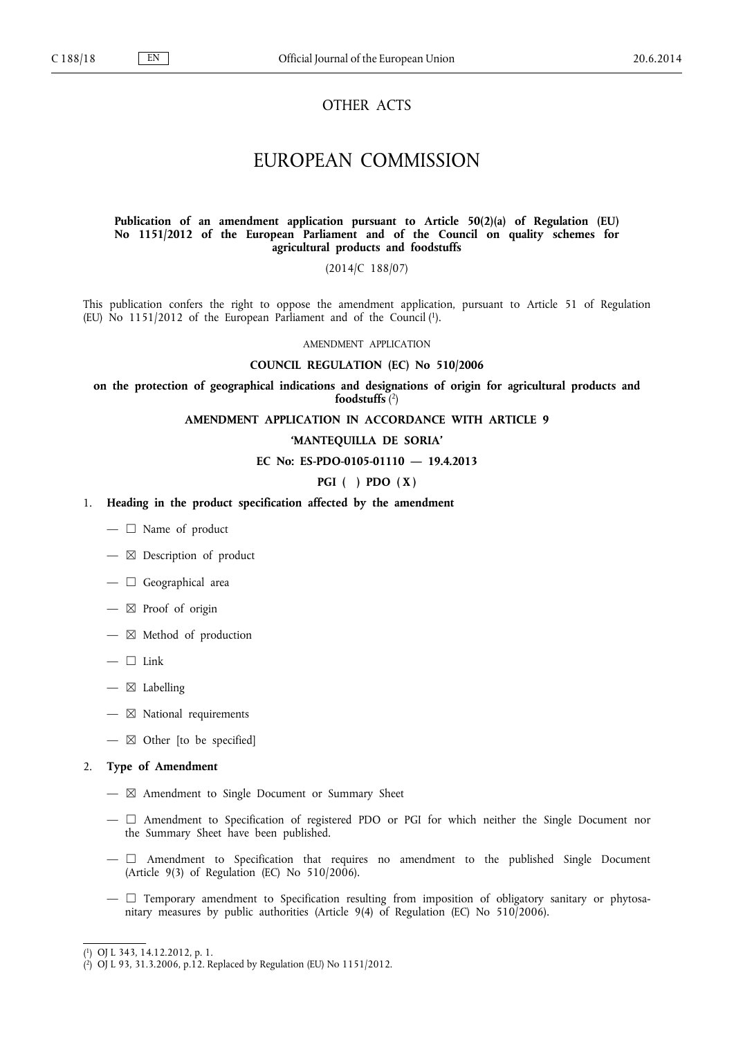# OTHER ACTS

# EUROPEAN COMMISSION

### **Publication of an amendment application pursuant to Article 50(2)(a) of Regulation (EU) No 1151/2012 of the European Parliament and of the Council on quality schemes for agricultural products and foodstuffs**

(2014/C 188/07)

This publication confers the right to oppose the amendment application, pursuant to Article 51 of Regulation (EU) No 1151/2012 of the European Parliament and of the Council  $(1)$ .

AMENDMENT APPLICATION

### **COUNCIL REGULATION (EC) No 510/2006**

**on the protection of geographical indications and designations of origin for agricultural products and foodstuffs** ( 2 )

**AMENDMENT APPLICATION IN ACCORDANCE WITH ARTICLE 9**

### **'MANTEQUILLA DE SORIA'**

#### **EC No: ES-PDO-0105-01110 — 19.4.2013**

### **PGI ( ) PDO ( X )**

- 1. **Heading in the product specification affected by the amendment**
	- $-\Box$  Name of product
	- $-\boxtimes$  Description of product
	- $-\Box$  Geographical area
	- $-\boxtimes$  Proof of origin
	- $-\boxtimes$  Method of production
	- $-\Box$  Link
	- $-\boxtimes$  Labelling
	- $-\nabla$  National requirements
	- $-\boxtimes$  Other [to be specified]

#### 2. **Type of Amendment**

- $-\boxtimes$  Amendment to Single Document or Summary Sheet
- ☐ Amendment to Specification of registered PDO or PGI for which neither the Single Document nor the Summary Sheet have been published.
- $-\Box$  Amendment to Specification that requires no amendment to the published Single Document (Article 9(3) of Regulation (EC) No  $510/2006$ ).
- $-\Box$  Temporary amendment to Specification resulting from imposition of obligatory sanitary or phytosanitary measures by public authorities (Article 9(4) of Regulation (EC) No 510/2006).

<sup>(</sup> 1 ) OJ L 343, 14.12.2012, p. 1.

<sup>(</sup> 2 ) OJ L 93, 31.3.2006, p.12. Replaced by Regulation (EU) No 1151/2012.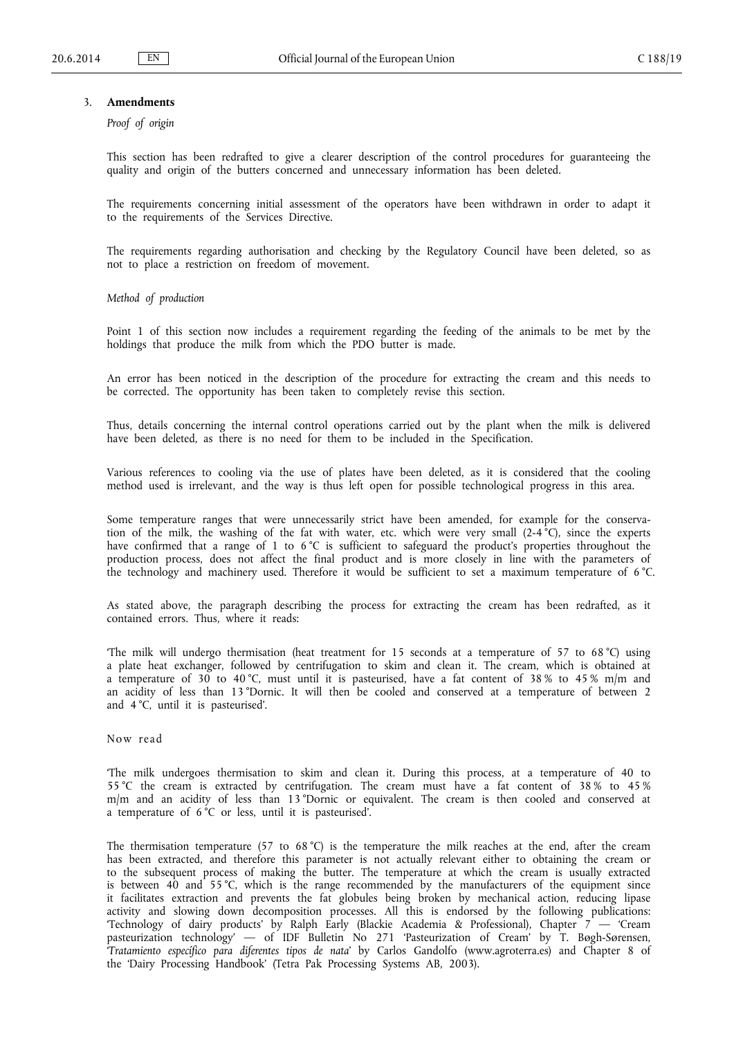### 3. **Amendments**

*Proof of origin*

This section has been redrafted to give a clearer description of the control procedures for guaranteeing the quality and origin of the butters concerned and unnecessary information has been deleted.

The requirements concerning initial assessment of the operators have been withdrawn in order to adapt it to the requirements of the Services Directive.

The requirements regarding authorisation and checking by the Regulatory Council have been deleted, so as not to place a restriction on freedom of movement.

*Method of production*

Point 1 of this section now includes a requirement regarding the feeding of the animals to be met by the holdings that produce the milk from which the PDO butter is made.

An error has been noticed in the description of the procedure for extracting the cream and this needs to be corrected. The opportunity has been taken to completely revise this section.

Thus, details concerning the internal control operations carried out by the plant when the milk is delivered have been deleted, as there is no need for them to be included in the Specification.

Various references to cooling via the use of plates have been deleted, as it is considered that the cooling method used is irrelevant, and the way is thus left open for possible technological progress in this area.

Some temperature ranges that were unnecessarily strict have been amended, for example for the conserva tion of the milk, the washing of the fat with water, etc. which were very small  $(2-4^{\circ}C)$ , since the experts have confirmed that a range of 1 to 6 °C is sufficient to safeguard the product's properties throughout the production process, does not affect the final product and is more closely in line with the parameters of the technology and machinery used. Therefore it would be sufficient to set a maximum temperature of 6 °C.

As stated above, the paragraph describing the process for extracting the cream has been redrafted, as it contained errors. Thus, where it reads:

'The milk will undergo thermisation (heat treatment for 15 seconds at a temperature of 57 to 68 °C) using a plate heat exchanger, followed by centrifugation to skim and clean it. The cream, which is obtained at a temperature of 30 to 40 °C, must until it is pasteurised, have a fat content of 38 % to 45 % m/m and an acidity of less than 13 °Dornic. It will then be cooled and conserved at a temperature of between 2 and 4 °C, until it is pasteurised'.

Now read

'The milk undergoes thermisation to skim and clean it. During this process, at a temperature of 40 to 55 °C the cream is extracted by centrifugation. The cream must have a fat content of 38 % to 45 % m/m and an acidity of less than 13 °Dornic or equivalent. The cream is then cooled and conserved at a temperature of 6 °C or less, until it is pasteurised'.

The thermisation temperature (57 to 68 °C) is the temperature the milk reaches at the end, after the cream has been extracted, and therefore this parameter is not actually relevant either to obtaining the cream or to the subsequent process of making the butter. The temperature at which the cream is usually extracted is between 40 and 55 °C, which is the range recommended by the manufacturers of the equipment since it facilitates extraction and prevents the fat globules being broken by mechanical action, reducing lipase activity and slowing down decomposition processes. All this is endorsed by the following publications: 'Technology of dairy products' by Ralph Early (Blackie Academia & Professional), Chapter 7 — 'Cream pasteurization technology' — of IDF Bulletin No 271 'Pasteurization of Cream' by T. Bøgh-Sørensen, '*Tratamiento específico para diferentes tipos de nata*' by Carlos Gandolfo [\(www.agroterra.es](http://www.agroterra.es)) and Chapter 8 of the 'Dairy Processing Handbook' (Tetra Pak Processing Systems AB, 2003).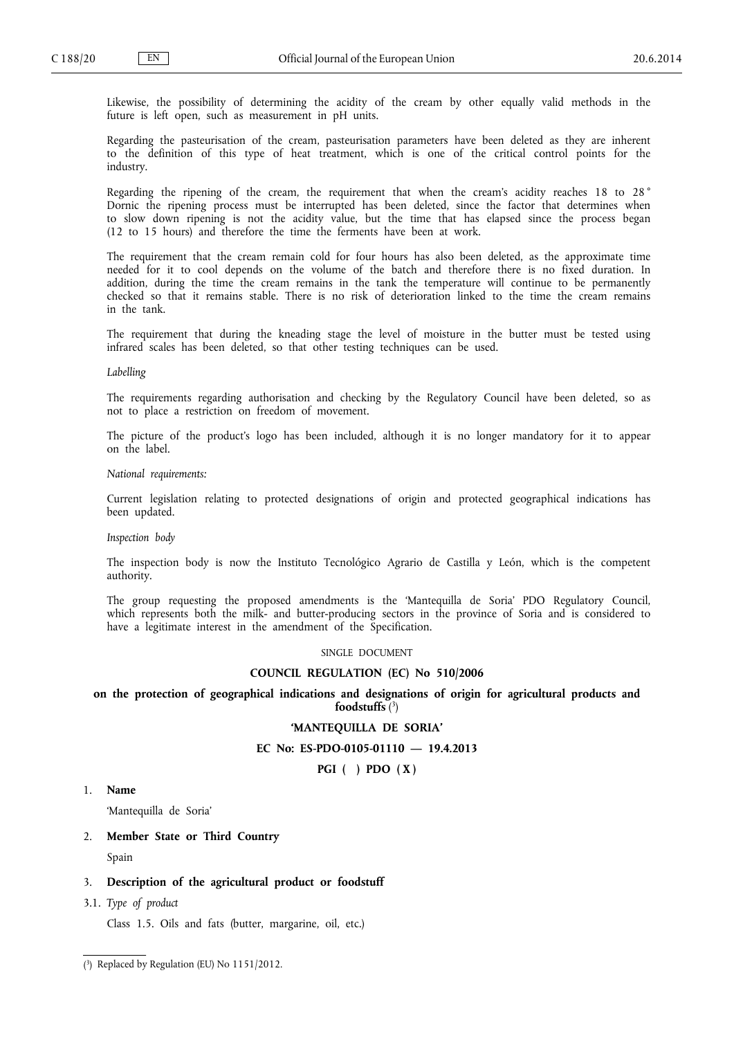Likewise, the possibility of determining the acidity of the cream by other equally valid methods in the future is left open, such as measurement in pH units.

Regarding the pasteurisation of the cream, pasteurisation parameters have been deleted as they are inherent to the definition of this type of heat treatment, which is one of the critical control points for the industry.

Regarding the ripening of the cream, the requirement that when the cream's acidity reaches 18 to 28° Dornic the ripening process must be interrupted has been deleted, since the factor that determines when to slow down ripening is not the acidity value, but the time that has elapsed since the process began (12 to 15 hours) and therefore the time the ferments have been at work.

The requirement that the cream remain cold for four hours has also been deleted, as the approximate time needed for it to cool depends on the volume of the batch and therefore there is no fixed duration. In addition, during the time the cream remains in the tank the temperature will continue to be permanently checked so that it remains stable. There is no risk of deterioration linked to the time the cream remains in the tank.

The requirement that during the kneading stage the level of moisture in the butter must be tested using infrared scales has been deleted, so that other testing techniques can be used.

#### *Labelling*

The requirements regarding authorisation and checking by the Regulatory Council have been deleted, so as not to place a restriction on freedom of movement.

The picture of the product's logo has been included, although it is no longer mandatory for it to appear on the label.

*National requirements:*

Current legislation relating to protected designations of origin and protected geographical indications has been updated.

*Inspection body*

The inspection body is now the Instituto Tecnológico Agrario de Castilla y León, which is the competent authority.

The group requesting the proposed amendments is the 'Mantequilla de Soria' PDO Regulatory Council, which represents both the milk- and butter-producing sectors in the province of Soria and is considered to have a legitimate interest in the amendment of the Specification.

#### SINGLE DOCUMENT

#### **COUNCIL REGULATION (EC) No 510/2006**

### **on the protection of geographical indications and designations of origin for agricultural products and foodstuffs** ( 3 )

# **'MANTEQUILLA DE SORIA'**

### **EC No: ES-PDO-0105-01110 — 19.4.2013**

**PGI ( ) PDO ( X )**

# 1. **Name**

'Mantequilla de Soria'

2. **Member State or Third Country**

Spain

### 3. **Description of the agricultural product or foodstuff**

3.1. *Type of product*

Class 1.5. Oils and fats (butter, margarine, oil, etc.)

( 3 ) Replaced by Regulation (EU) No 1151/2012.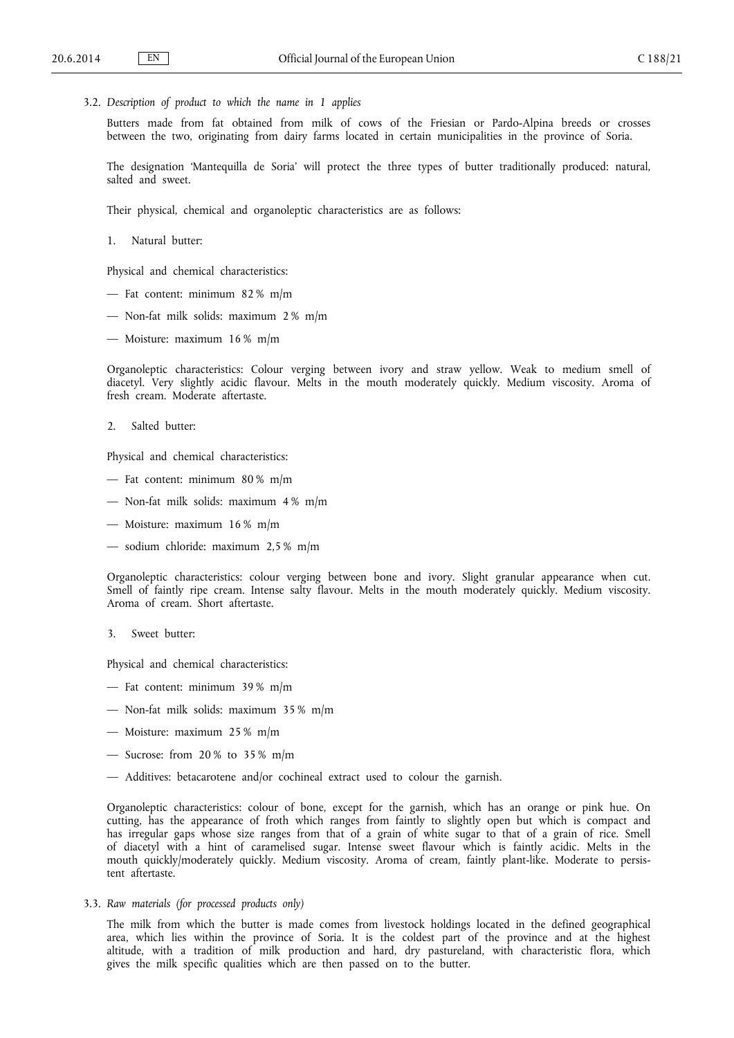3.2. *Description of product to which the name in 1 applies*

Butters made from fat obtained from milk of cows of the Friesian or Pardo-Alpina breeds or crosses between the two, originating from dairy farms located in certain municipalities in the province of Soria.

The designation 'Mantequilla de Soria' will protect the three types of butter traditionally produced: natural, salted and sweet.

Their physical, chemical and organoleptic characteristics are as follows:

1. Natural butter:

Physical and chemical characteristics:

- Fat content: minimum 82 % m/m
- Non-fat milk solids: maximum 2 % m/m
- Moisture: maximum 16 % m/m

Organoleptic characteristics: Colour verging between ivory and straw yellow. Weak to medium smell of diacetyl. Very slightly acidic flavour. Melts in the mouth moderately quickly. Medium viscosity. Aroma of fresh cream. Moderate aftertaste.

2. Salted butter:

Physical and chemical characteristics:

- Fat content: minimum  $80\%$  m/m
- Non-fat milk solids: maximum 4 % m/m
- Moisture: maximum 16 % m/m
- sodium chloride: maximum 2,5 % m/m

Organoleptic characteristics: colour verging between bone and ivory. Slight granular appearance when cut. Smell of faintly ripe cream. Intense salty flavour. Melts in the mouth moderately quickly. Medium viscosity. Aroma of cream. Short aftertaste.

3. Sweet butter:

Physical and chemical characteristics:

- Fat content: minimum  $39\%$  m/m
- Non-fat milk solids: maximum 35 % m/m
- Moisture: maximum 25 % m/m
- Sucrose: from  $20\%$  to  $35\%$  m/m
- Additives: betacarotene and/or cochineal extract used to colour the garnish.

Organoleptic characteristics: colour of bone, except for the garnish, which has an orange or pink hue. On cutting, has the appearance of froth which ranges from faintly to slightly open but which is compact and has irregular gaps whose size ranges from that of a grain of white sugar to that of a grain of rice. Smell of diacetyl with a hint of caramelised sugar. Intense sweet flavour which is faintly acidic. Melts in the mouth quickly/moderately quickly. Medium viscosity. Aroma of cream, faintly plant-like. Moderate to persis tent aftertaste.

3.3. *Raw materials (for processed products only)*

The milk from which the butter is made comes from livestock holdings located in the defined geographical area, which lies within the province of Soria. It is the coldest part of the province and at the highest altitude, with a tradition of milk production and hard, dry pastureland, with characteristic flora, which gives the milk specific qualities which are then passed on to the butter.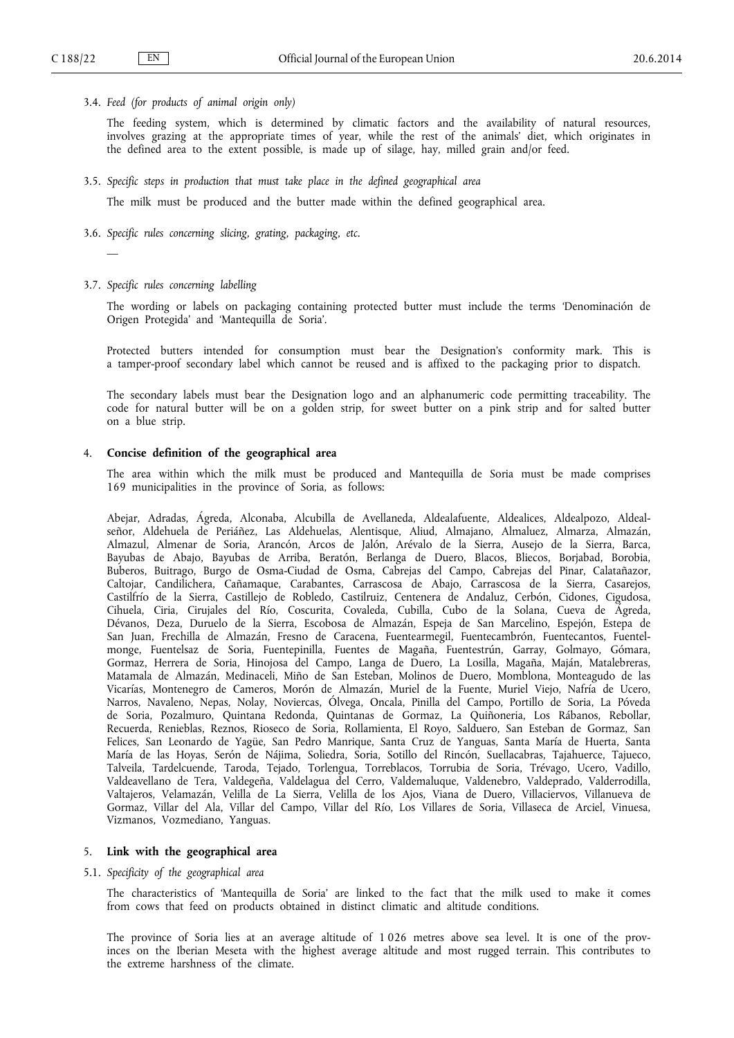3.4. *Feed (for products of animal origin only)*

The feeding system, which is determined by climatic factors and the availability of natural resources, involves grazing at the appropriate times of year, while the rest of the animals' diet, which originates in the defined area to the extent possible, is made up of silage, hay, milled grain and/or feed.

3.5. *Specific steps in production that must take place in the defined geographical area*

The milk must be produced and the butter made within the defined geographical area.

- 3.6. *Specific rules concerning slicing, grating, packaging, etc.*
- 3.7. *Specific rules concerning labelling*

—

The wording or labels on packaging containing protected butter must include the terms 'Denominación de Origen Protegida' and 'Mantequilla de Soria'.

Protected butters intended for consumption must bear the Designation's conformity mark. This is a tamper-proof secondary label which cannot be reused and is affixed to the packaging prior to dispatch.

The secondary labels must bear the Designation logo and an alphanumeric code permitting traceability. The code for natural butter will be on a golden strip, for sweet butter on a pink strip and for salted butter on a blue strip.

### 4. **Concise definition of the geographical area**

The area within which the milk must be produced and Mantequilla de Soria must be made comprises 169 municipalities in the province of Soria, as follows:

Abejar, Adradas, Ágreda, Alconaba, Alcubilla de Avellaneda, Aldealafuente, Aldealices, Aldealpozo, Aldeal señor, Aldehuela de Periáñez, Las Aldehuelas, Alentisque, Aliud, Almajano, Almaluez, Almarza, Almazán, Almazul, Almenar de Soria, Arancón, Arcos de Jalón, Arévalo de la Sierra, Ausejo de la Sierra, Barca, Bayubas de Abajo, Bayubas de Arriba, Beratón, Berlanga de Duero, Blacos, Bliecos, Borjabad, Borobia, Buberos, Buitrago, Burgo de Osma-Ciudad de Osma, Cabrejas del Campo, Cabrejas del Pinar, Calatañazor, Caltojar, Candilichera, Cañamaque, Carabantes, Carrascosa de Abajo, Carrascosa de la Sierra, Casarejos, Castilfrío de la Sierra, Castillejo de Robledo, Castilruiz, Centenera de Andaluz, Cerbón, Cidones, Cigudosa, Cihuela, Ciria, Cirujales del Río, Coscurita, Covaleda, Cubilla, Cubo de la Solana, Cueva de Ágreda, Dévanos, Deza, Duruelo de la Sierra, Escobosa de Almazán, Espeja de San Marcelino, Espejón, Estepa de San Juan, Frechilla de Almazán, Fresno de Caracena, Fuentearmegil, Fuentecambrón, Fuentecantos, Fuentel monge, Fuentelsaz de Soria, Fuentepinilla, Fuentes de Magaña, Fuentestrún, Garray, Golmayo, Gómara, Gormaz, Herrera de Soria, Hinojosa del Campo, Langa de Duero, La Losilla, Magaña, Maján, Matalebreras, Matamala de Almazán, Medinaceli, Miño de San Esteban, Molinos de Duero, Momblona, Monteagudo de las Vicarías, Montenegro de Cameros, Morón de Almazán, Muriel de la Fuente, Muriel Viejo, Nafría de Ucero, Narros, Navaleno, Nepas, Nolay, Noviercas, Ólvega, Oncala, Pinilla del Campo, Portillo de Soria, La Póveda de Soria, Pozalmuro, Quintana Redonda, Quintanas de Gormaz, La Quiñoneria, Los Rábanos, Rebollar, Recuerda, Renieblas, Reznos, Rioseco de Soria, Rollamienta, El Royo, Salduero, San Esteban de Gormaz, San Felices, San Leonardo de Yagüe, San Pedro Manrique, Santa Cruz de Yanguas, Santa María de Huerta, Santa María de las Hoyas, Serón de Nájima, Soliedra, Soria, Sotillo del Rincón, Suellacabras, Tajahuerce, Tajueco, Talveila, Tardelcuende, Taroda, Tejado, Torlengua, Torreblacos, Torrubia de Soria, Trévago, Ucero, Vadillo, Valdeavellano de Tera, Valdegeña, Valdelagua del Cerro, Valdemaluque, Valdenebro, Valdeprado, Valderrodilla, Valtajeros, Velamazán, Velilla de La Sierra, Velilla de los Ajos, Viana de Duero, Villaciervos, Villanueva de Gormaz, Villar del Ala, Villar del Campo, Villar del Río, Los Villares de Soria, Villaseca de Arciel, Vinuesa, Vizmanos, Vozmediano, Yanguas.

#### 5. **Link with the geographical area**

5.1. *Specificity of the geographical area*

The characteristics of 'Mantequilla de Soria' are linked to the fact that the milk used to make it comes from cows that feed on products obtained in distinct climatic and altitude conditions.

The province of Soria lies at an average altitude of 1 026 metres above sea level. It is one of the prov inces on the Iberian Meseta with the highest average altitude and most rugged terrain. This contributes to the extreme harshness of the climate.